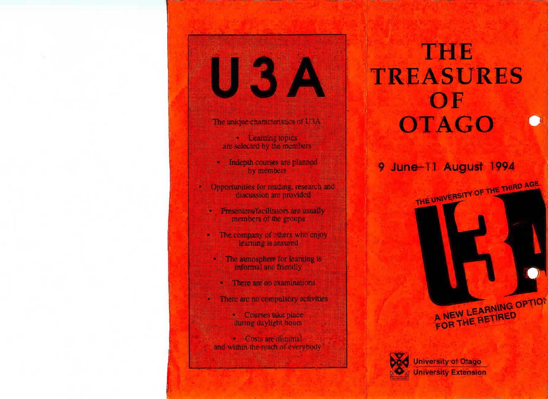## U3A The unique characteristics of U3A • Learning topics are selected by the members · Indepth courses are planned by members Opportunities for reading, research and ö. discussion are provided Presenters/facilitators are usually members of the groups The company of others who enjoy learning is ensured The atmosphere for learning is a. informal and friendly ◆ There are no examinations There are no compulsory activities з, • Courses take place during daylight hours • Costs are minimal and within the reach of everybody

THE **TREASURES** OF **OTAGO** 

9 June 11 August 1994